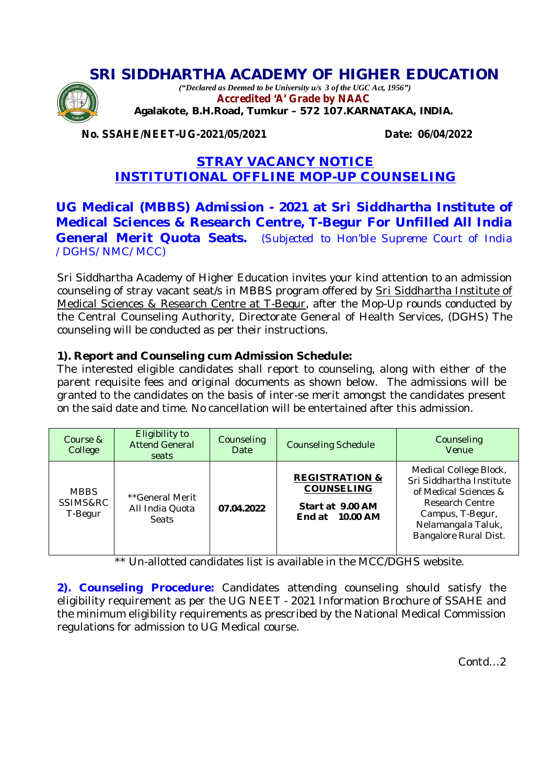# **SRI SIDDHARTHA ACADEMY OF HIGHER EDUCATION**



*("Declared as Deemed to be University u/s 3 of the UGC Act, 1956")* **Accredited 'A' Grade by NAAC Agalakote, B.H.Road, Tumkur – 572 107.KARNATAKA, INDIA.**

**No. SSAHE/NEET-UG-2021/05/2021 Date: 06/04/2022**

## **STRAY VACANCY NOTICE INSTITUTIONAL OFFLINE MOP-UP COUNSELING**

## **UG Medical (MBBS) Admission - 2021 at Sri Siddhartha Institute of Medical Sciences & Research Centre, T-Begur For Unfilled All India General Merit Quota Seats.** (*Subjected to Hon'ble Supreme Court of India /DGHS/NMC/MCC)*

Sri Siddhartha Academy of Higher Education invites your kind attention to an admission counseling of stray vacant seat/s in MBBS program offered by Sri Siddhartha Institute of Medical Sciences & Research Centre at T-Begur, after the Mop-Up rounds conducted by the Central Counseling Authority, Directorate General of Health Services, (DGHS) The counseling will be conducted as per their instructions.

## **1). Report and Counseling cum Admission Schedule:**

The interested eligible candidates shall report to counseling, along with either of the parent requisite fees and original documents as shown below. The admissions will be granted to the candidates on the basis of inter-se merit amongst the candidates present on the said date and time. No cancellation will be entertained after this admission.

| Course &<br>College                | Eligibility to<br><b>Attend General</b><br>seats   | Counseling<br>Date | <b>Counseling Schedule</b>                                                            | Counseling<br>Venue                                                                                                                                               |
|------------------------------------|----------------------------------------------------|--------------------|---------------------------------------------------------------------------------------|-------------------------------------------------------------------------------------------------------------------------------------------------------------------|
| <b>MBBS</b><br>SSIMS&RC<br>T-Begur | **General Merit<br>All India Quota<br><b>Seats</b> | 07.04.2022         | <b>REGISTRATION &amp;</b><br><b>COUNSELING</b><br>Start at 9.00 AM<br>End at 10.00 AM | Medical College Block,<br>Sri Siddhartha Institute<br>of Medical Sciences &<br>Research Centre<br>Campus, T-Begur,<br>Nelamangala Taluk,<br>Bangalore Rural Dist. |

\*\* Un-allotted candidates list is available in the MCC/DGHS website.

**2). Counseling Procedure:** Candidates attending counseling should satisfy the eligibility requirement as per the UG NEET - 2021 Information Brochure of SSAHE and the minimum eligibility requirements as prescribed by the National Medical Commission regulations for admission to UG Medical course.

Contd…2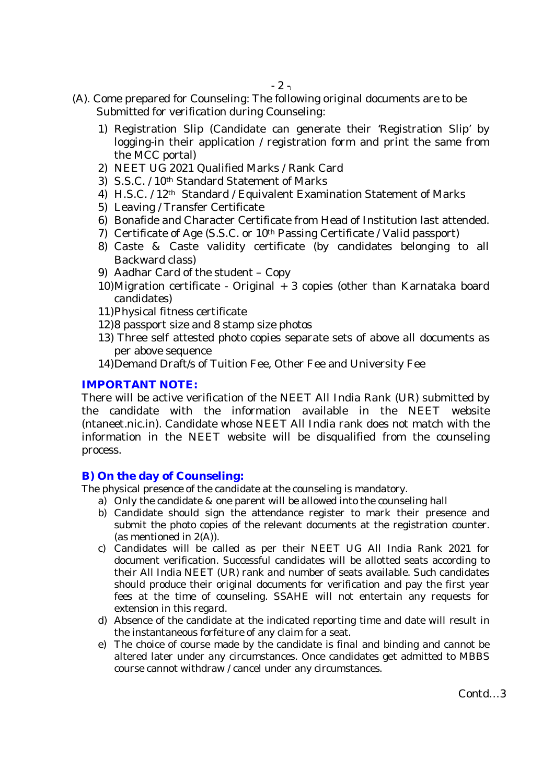- (A). Come prepared for Counseling: The following original documents are to be Submitted for verification during Counseling:
	- 1) Registration Slip (Candidate can generate their 'Registration Slip' by logging-in their application / registration form and print the same from the MCC portal)
	- 2) NEET UG 2021 Qualified Marks / Rank Card
	- 3) S.S.C. / 10<sup>th</sup> Standard Statement of Marks
	- 4) H.S.C. / 12<sup>th</sup> Standard / Equivalent Examination Statement of Marks
	- 5) Leaving / Transfer Certificate
	- 6) Bonafide and Character Certificate from Head of Institution last attended.
	- 7) Certificate of Age (S.S.C. or 10th Passing Certificate / Valid passport)
	- 8) Caste & Caste validity certificate (by candidates belonging to all Backward class)
	- 9) Aadhar Card of the student Copy
	- 10)Migration certificate Original + 3 copies (other than Karnataka board candidates)
	- 11)Physical fitness certificate
	- 12)8 passport size and 8 stamp size photos
	- 13) Three self attested photo copies separate sets of above all documents as per above sequence
	- 14)Demand Draft/s of Tuition Fee, Other Fee and University Fee

## **IMPORTANT NOTE:**

There will be active verification of the NEET All India Rank (UR) submitted by the candidate with the information available in the NEET website (ntaneet.nic.in). Candidate whose NEET All India rank does not match with the information in the NEET website will be disqualified from the counseling process.

## **B) On the day of Counseling:**

The physical presence of the candidate at the counseling is mandatory.

- a) Only the candidate & one parent will be allowed into the counseling hall
- b) Candidate should sign the attendance register to mark their presence and submit the photo copies of the relevant documents at the registration counter. (as mentioned in 2(A)).
- c) Candidates will be called as per their NEET UG All India Rank 2021 for document verification. Successful candidates will be allotted seats according to their All India NEET (UR) rank and number of seats available. Such candidates should produce their original documents for verification and pay the first year fees at the time of counseling. SSAHE will not entertain any requests for extension in this regard.
- d) Absence of the candidate at the indicated reporting time and date will result in the instantaneous forfeiture of any claim for a seat.
- e) The choice of course made by the candidate is final and binding and cannot be altered later under any circumstances. Once candidates get admitted to MBBS course cannot withdraw / cancel under any circumstances.

Contd…3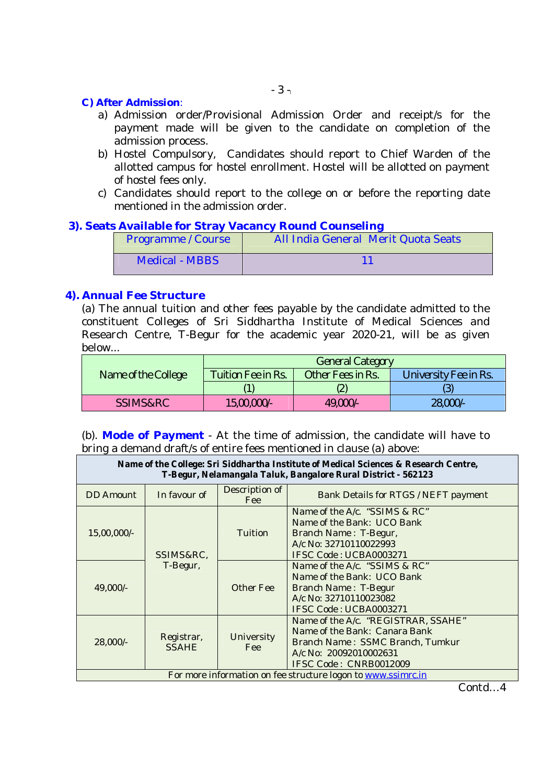#### **C) After Admission**:

- a) Admission order/Provisional Admission Order and receipt/s for the payment made will be given to the candidate on completion of the admission process.
- b) Hostel Compulsory, Candidates should report to Chief Warden of the allotted campus for hostel enrollment. Hostel will be allotted on payment of hostel fees only.
- c) Candidates should report to the college on or before the reporting date mentioned in the admission order.

## **3). Seats Available for Stray Vacancy Round Counseling**

| Programme / Course | All India General Merit Quota Seats |  |
|--------------------|-------------------------------------|--|
| Medical - MBBS     |                                     |  |

#### **4). Annual Fee Structure**

(a) The annual tuition and other fees payable by the candidate admitted to the constituent Colleges of Sri Siddhartha Institute of Medical Sciences and Research Centre, T-Begur for the academic year 2020-21, will be as given below...

|                     | <b>General Category</b> |                   |                       |  |
|---------------------|-------------------------|-------------------|-----------------------|--|
| Name of the College | Tuition Fee in Rs.      | Other Fees in Rs. | University Fee in Rs. |  |
|                     |                         |                   |                       |  |
| SSIMS&RC            | 15,00,000               | 49,000/-          | 28,000/-              |  |

(b). **Mode of Payment** - At the time of admission, the candidate will have to bring a demand draft/s of entire fees mentioned in clause (a) above:

| Name of the College: Sri Siddhartha Institute of Medical Sciences & Research Centre,<br>T-Begur, Nelamangala Taluk, Bangalore Rural District - 562123 |                            |                              |                                                                                                                                                              |  |
|-------------------------------------------------------------------------------------------------------------------------------------------------------|----------------------------|------------------------------|--------------------------------------------------------------------------------------------------------------------------------------------------------------|--|
| <b>DD</b> Amount                                                                                                                                      | In favour of               | Description of<br><b>Fee</b> | Bank Details for RTGS / NEFT payment                                                                                                                         |  |
| 15,00,000/-                                                                                                                                           | SSIMS&RC,                  | Tuition                      | Name of the A/c. "SSIMS & RC"<br>Name of the Bank: UCO Bank<br>Branch Name: T-Begur,<br>A/c No: 32710110022993<br>IFSC Code: UCBA0003271                     |  |
| 49,000/-                                                                                                                                              | T-Begur,                   | <b>Other Fee</b>             | Name of the A/c. "SSIMS & RC"<br>Name of the Bank: UCO Bank<br>Branch Name: T-Begur<br>A/c No: 32710110023082<br>IFSC Code: UCBA0003271                      |  |
| 28,000/-                                                                                                                                              | Registrar,<br><b>SSAHE</b> | University<br><b>Fee</b>     | Name of the A/c. "REGISTRAR, SSAHE"<br>Name of the Bank: Canara Bank<br>Branch Name: SSMC Branch, Tumkur<br>A/c No: 20092010002631<br>IFSC Code: CNRB0012009 |  |
| For more information on fee structure logon to www.ssimrc.in                                                                                          |                            |                              |                                                                                                                                                              |  |

Contd…4